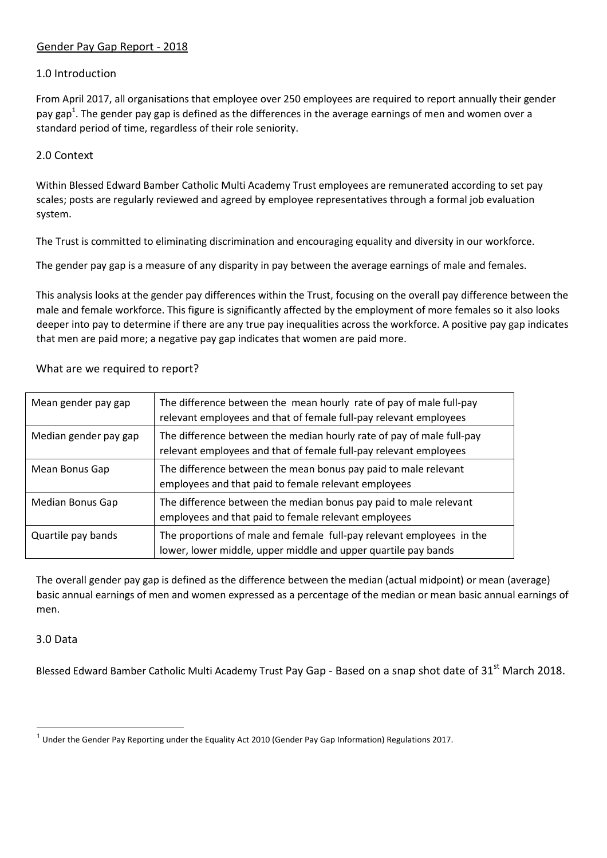# Gender Pay Gap Report - 2018

# 1.0 Introduction

From April 2017, all organisations that employee over 250 employees are required to report annually their gender pay gap<sup>1</sup>. The gender pay gap is defined as the differences in the average earnings of men and women over a standard period of time, regardless of their role seniority.

# 2.0 Context

Within Blessed Edward Bamber Catholic Multi Academy Trust employees are remunerated according to set pay scales; posts are regularly reviewed and agreed by employee representatives through a formal job evaluation system.

The Trust is committed to eliminating discrimination and encouraging equality and diversity in our workforce.

The gender pay gap is a measure of any disparity in pay between the average earnings of male and females.

This analysis looks at the gender pay differences within the Trust, focusing on the overall pay difference between the male and female workforce. This figure is significantly affected by the employment of more females so it also looks deeper into pay to determine if there are any true pay inequalities across the workforce. A positive pay gap indicates that men are paid more; a negative pay gap indicates that women are paid more.

| Mean gender pay gap   | The difference between the mean hourly rate of pay of male full-pay<br>relevant employees and that of female full-pay relevant employees   |
|-----------------------|--------------------------------------------------------------------------------------------------------------------------------------------|
| Median gender pay gap | The difference between the median hourly rate of pay of male full-pay<br>relevant employees and that of female full-pay relevant employees |
| Mean Bonus Gap        | The difference between the mean bonus pay paid to male relevant<br>employees and that paid to female relevant employees                    |
| Median Bonus Gap      | The difference between the median bonus pay paid to male relevant<br>employees and that paid to female relevant employees                  |
| Quartile pay bands    | The proportions of male and female full-pay relevant employees in the<br>lower, lower middle, upper middle and upper quartile pay bands    |

### What are we required to report?

The overall gender pay gap is defined as the difference between the median (actual midpoint) or mean (average) basic annual earnings of men and women expressed as a percentage of the median or mean basic annual earnings of men.

## 3.0 Data

l

Blessed Edward Bamber Catholic Multi Academy Trust Pay Gap - Based on a snap shot date of 31<sup>st</sup> March 2018.

<sup>&</sup>lt;sup>1</sup> Under the Gender Pay Reporting under the Equality Act 2010 (Gender Pay Gap Information) Regulations 2017.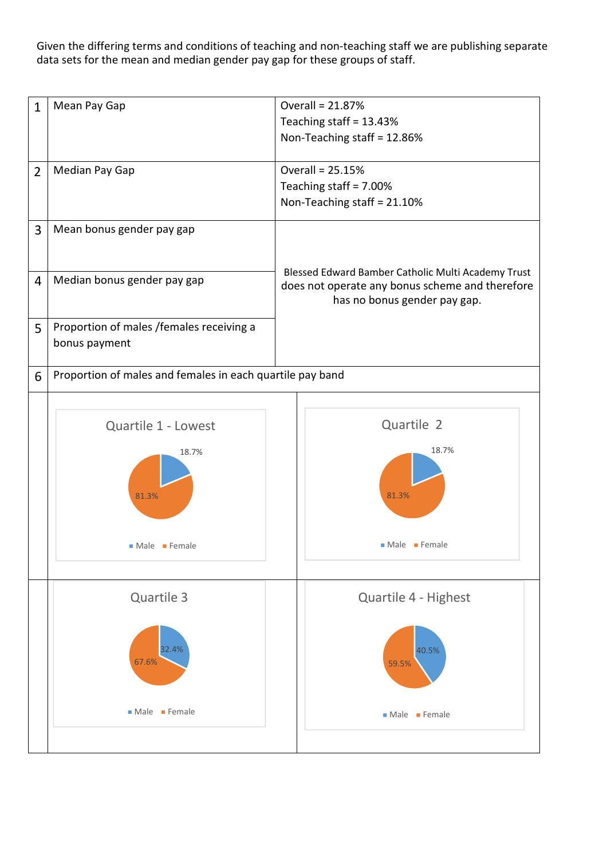Given the differing terms and conditions of teaching and non-teaching staff we are publishing separate data sets for the mean and median gender pay gap for these groups of staff.